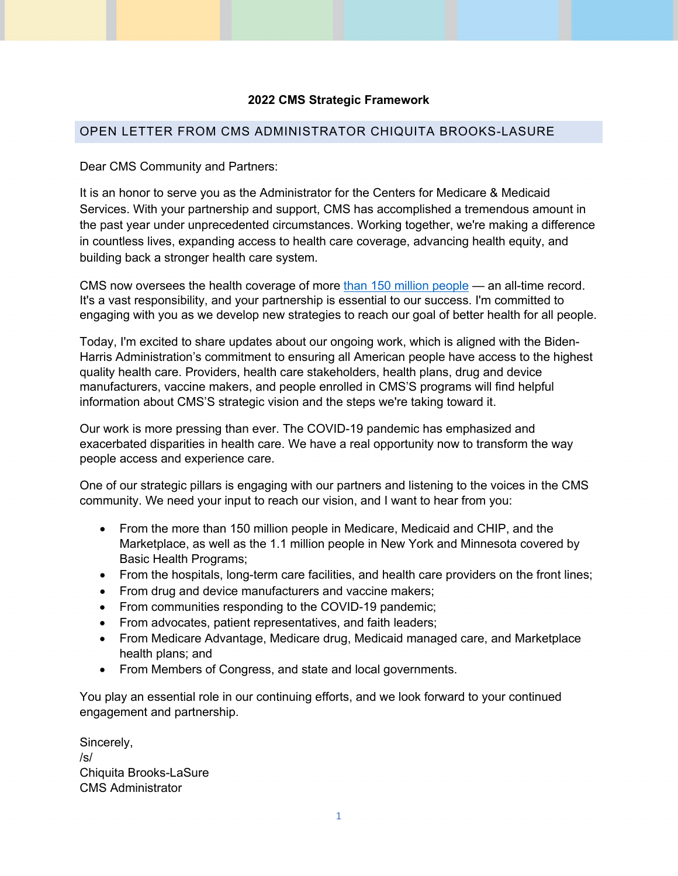## **2022 CMS Strategic Framework**

## OPEN LETTER FROM CMS ADMINISTRATOR CHIQUITA BROOKS-LASURE

Dear CMS Community and Partners:

 It is an honor to serve you as the Administrator for the Centers for Medicare & Medicaid Services. With your partnership and support, CMS has accomplished a tremendous amount in the past year under unprecedented circumstances. Working together, we're making a difference building back a stronger health care system. in countless lives, expanding access to health care coverage, advancing health equity, and

building back a stronger health care system.<br>CMS now oversees the health coverage of more <u>than 150 million people</u> — an all-time record. It's a vast responsibility, and your partnership is essential to our success. I'm committed to engaging with you as we develop new strategies to reach our goal of better health for all people.

 Today, I'm excited to share updates about our ongoing work, which is aligned with the Biden- manufacturers, vaccine makers, and people enrolled in CMS'S programs will find helpful information about CMS'S strategic vision and the steps we're taking toward it. Harris Administration's commitment to ensuring all American people have access to the highest quality health care. Providers, health care stakeholders, health plans, drug and device

 Our work is more pressing than ever. The COVID-19 pandemic has emphasized and exacerbated disparities in health care. We have a real opportunity now to transform the way people access and experience care.

people access and experience care.<br>One of our strategic pillars is engaging with our partners and listening to the voices in the CMS community. We need your input to reach our vision, and I want to hear from you:

- • From the more than 150 million people in Medicare, Medicaid and CHIP, and the Basic Health Programs; Marketplace, as well as the 1.1 million people in New York and Minnesota covered by
- From the hospitals, long-term care facilities, and health care providers on the front lines;
- From drug and device manufacturers and vaccine makers;
- From communities responding to the COVID-19 pandemic;
- From advocates, patient representatives, and faith leaders;
- • From Medicare Advantage, Medicare drug, Medicaid managed care, and Marketplace health plans; and
- From Members of Congress, and state and local governments.

 You play an essential role in our continuing efforts, and we look forward to your continued engagement and partnership.

Sincerely, /s/ Chiquita Brooks-LaSure CMS Administrator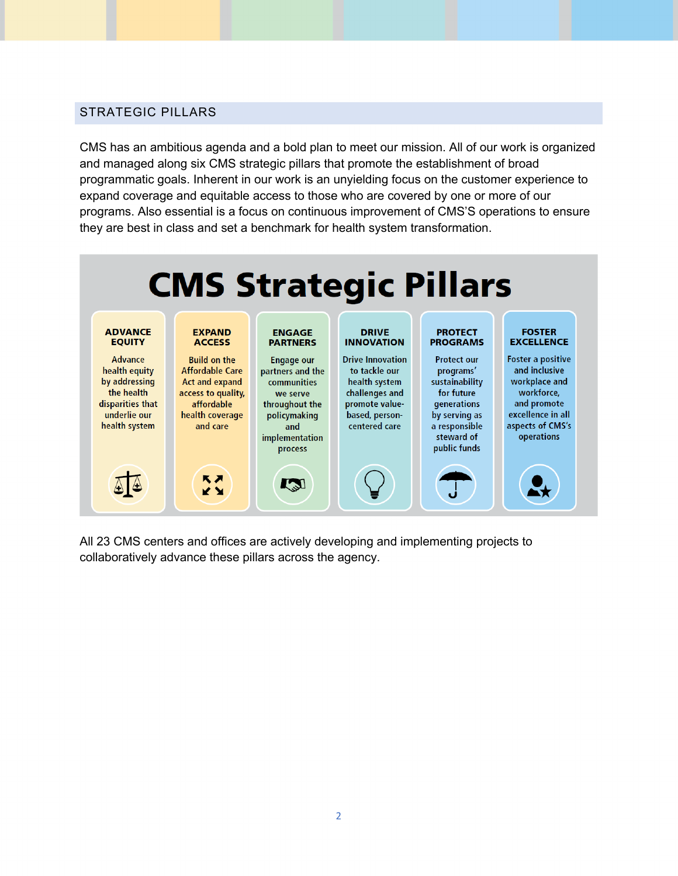# STRATEGIC PILLARS

 CMS has an ambitious agenda and a bold plan to meet our mission. All of our work is organized programmatic goals. Inherent in our work is an unyielding focus on the customer experience to expand coverage and equitable access to those who are covered by one or more of our programs. Also essential is a focus on continuous improvement of CMS'S operations to ensure and managed along six CMS strategic pillars that promote the establishment of broad they are best in class and set a benchmark for health system transformation.



 All 23 CMS centers and offices are actively developing and implementing projects to collaboratively advance these pillars across the agency.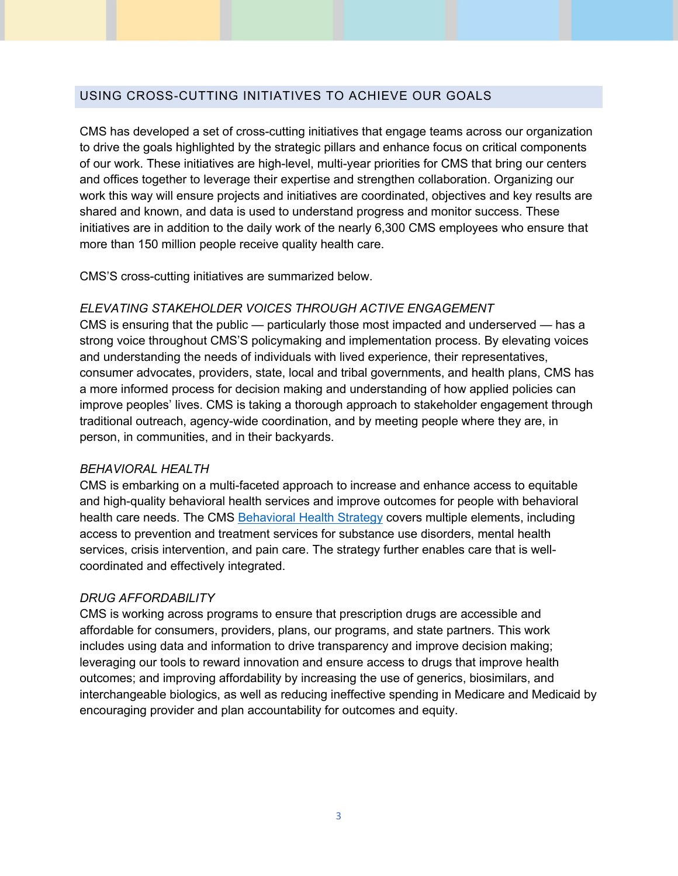## USING CROSS-CUTTING INITIATIVES TO ACHIEVE OUR GOALS

 of our work. These initiatives are high-level, multi-year priorities for CMS that bring our centers work this way will ensure projects and initiatives are coordinated, objectives and key results are shared and known, and data is used to understand progress and monitor success. These initiatives are in addition to the daily work of the nearly 6,300 CMS employees who ensure that more than 150 million people receive quality health care. CMS has developed a set of cross-cutting initiatives that engage teams across our organization to drive the goals highlighted by the strategic pillars and enhance focus on critical components and offices together to leverage their expertise and strengthen collaboration. Organizing our

CMS'S cross-cutting initiatives are summarized below.

## *ELEVATING STAKEHOLDER VOICES THROUGH ACTIVE ENGAGEMENT*

 CMS is ensuring that the public — particularly those most impacted and underserved — has a and understanding the needs of individuals with lived experience, their representatives, consumer advocates, providers, state, local and tribal governments, and health plans, CMS has a more informed process for decision making and understanding of how applied policies can improve peoples' lives. CMS is taking a thorough approach to stakeholder engagement through traditional outreach, agency-wide coordination, and by meeting people where they are, in person, in communities, and in their backyards. strong voice throughout CMS'S policymaking and implementation process. By elevating voices

## *BEHAVIORAL HEALTH*

health care needs. The CMS **Behavioral Health Strategy** covers multiple elements, including access to prevention and treatment services for substance use disorders, mental health CMS is embarking on a multi-faceted approach to increase and enhance access to equitable and high-quality behavioral health services and improve outcomes for people with behavioral services, crisis intervention, and pain care. The strategy further enables care that is wellcoordinated and effectively integrated.

## *DRUG AFFORDABILITY*

 affordable for consumers, providers, plans, our programs, and state partners. This work outcomes; and improving affordability by increasing the use of generics, biosimilars, and encouraging provider and plan accountability for outcomes and equity. CMS is working across programs to ensure that prescription drugs are accessible and includes using data and information to drive transparency and improve decision making; leveraging our tools to reward innovation and ensure access to drugs that improve health interchangeable biologics, as well as reducing ineffective spending in Medicare and Medicaid by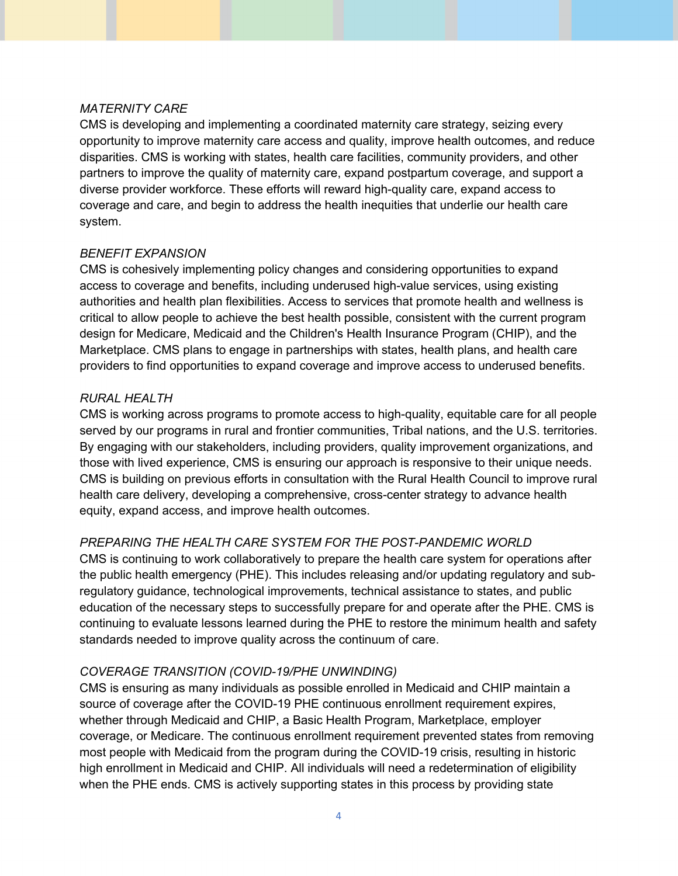### *MATERNITY CARE*

 disparities. CMS is working with states, health care facilities, community providers, and other partners to improve the quality of maternity care, expand postpartum coverage, and support a diverse provider workforce. These efforts will reward high-quality care, expand access to CMS is developing and implementing a coordinated maternity care strategy, seizing every opportunity to improve maternity care access and quality, improve health outcomes, and reduce coverage and care, and begin to address the health inequities that underlie our health care system.

#### *BENEFIT EXPANSION*

 critical to allow people to achieve the best health possible, consistent with the current program design for Medicare, Medicaid and the Children's Health Insurance Program (CHIP), and the Marketplace. CMS plans to engage in partnerships with states, health plans, and health care providers to find opportunities to expand coverage and improve access to underused benefits. CMS is cohesively implementing policy changes and considering opportunities to expand access to coverage and benefits, including underused high-value services, using existing authorities and health plan flexibilities. Access to services that promote health and wellness is

#### *RURAL HEALTH*

 CMS is working across programs to promote access to high-quality, equitable care for all people served by our programs in rural and frontier communities, Tribal nations, and the U.S. territories. By engaging with our stakeholders, including providers, quality improvement organizations, and those with lived experience, CMS is ensuring our approach is responsive to their unique needs. CMS is building on previous efforts in consultation with the Rural Health Council to improve rural health care delivery, developing a comprehensive, cross-center strategy to advance health equity, expand access, and improve health outcomes.

## *PREPARING THE HEALTH CARE SYSTEM FOR THE POST-PANDEMIC WORLD*

 CMS is continuing to work collaboratively to prepare the health care system for operations after continuing to evaluate lessons learned during the PHE to restore the minimum health and safety standards needed to improve quality across the continuum of care. the public health emergency (PHE). This includes releasing and/or updating regulatory and subregulatory guidance, technological improvements, technical assistance to states, and public education of the necessary steps to successfully prepare for and operate after the PHE. CMS is

#### *COVERAGE TRANSITION (COVID-19/PHE UNWINDING)*

 CMS is ensuring as many individuals as possible enrolled in Medicaid and CHIP maintain a source of coverage after the COVID-19 PHE continuous enrollment requirement expires, whether through Medicaid and CHIP, a Basic Health Program, Marketplace, employer coverage, or Medicare. The continuous enrollment requirement prevented states from removing when the PHE ends. CMS is actively supporting states in this process by providing state most people with Medicaid from the program during the COVID-19 crisis, resulting in historic high enrollment in Medicaid and CHIP. All individuals will need a redetermination of eligibility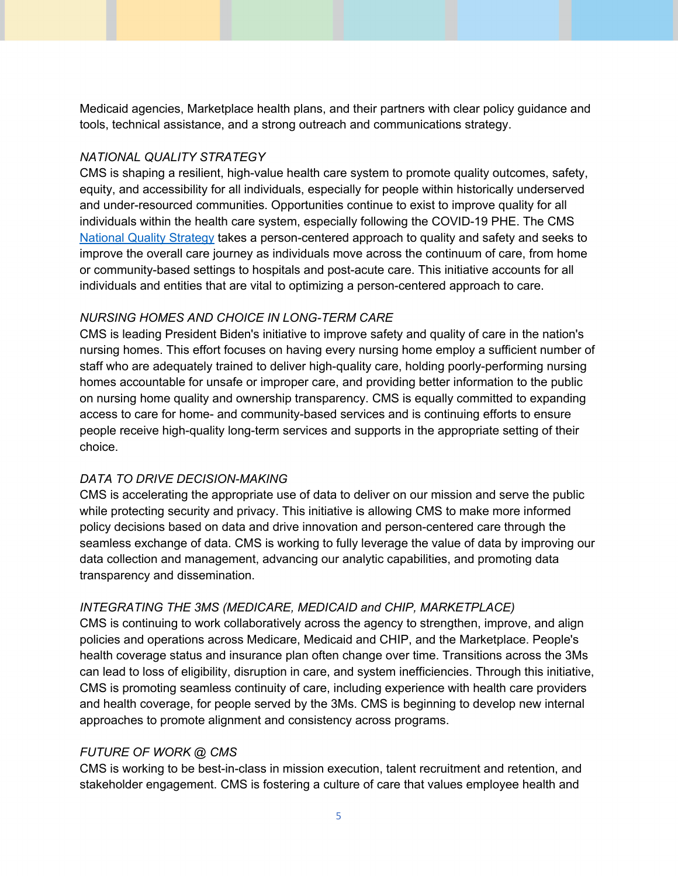Medicaid agencies, Marketplace health plans, and their partners with clear policy guidance and tools, technical assistance, and a strong outreach and communications strategy.

## *NATIONAL QUALITY STRATEGY*

 CMS is shaping a resilient, high-value health care system to promote quality outcomes, safety, equity, and accessibility for all individuals, especially for people within historically underserved individuals within the health care system, especially following the COVID-19 PHE. The CMS [National Quality Strategy t](https://www.cms.gov/files/document/cms-national-quality-strategy-fact-sheet.pdf)akes a person-centered approach to quality and safety and seeks to improve the overall care journey as individuals move across the continuum of care, from home or community-based settings to hospitals and post-acute care. This initiative accounts for all individuals and entities that are vital to optimizing a person-centered approach to care. and under-resourced communities. Opportunities continue to exist to improve quality for all

## *NURSING HOMES AND CHOICE IN LONG-TERM CARE*

 CMS is leading President Biden's initiative to improve safety and quality of care in the nation's nursing homes. This effort focuses on having every nursing home employ a sufficient number of homes accountable for unsafe or improper care, and providing better information to the public on nursing home quality and ownership transparency. CMS is equally committed to expanding staff who are adequately trained to deliver high-quality care, holding poorly-performing nursing access to care for home- and community-based services and is continuing efforts to ensure people receive high-quality long-term services and supports in the appropriate setting of their choice.

## *DATA TO DRIVE DECISION-MAKING*

 while protecting security and privacy. This initiative is allowing CMS to make more informed seamless exchange of data. CMS is working to fully leverage the value of data by improving our CMS is accelerating the appropriate use of data to deliver on our mission and serve the public policy decisions based on data and drive innovation and person-centered care through the data collection and management, advancing our analytic capabilities, and promoting data transparency and dissemination.

## *INTEGRATING THE 3MS (MEDICARE, MEDICAID and CHIP, MARKETPLACE)*

 CMS is continuing to work collaboratively across the agency to strengthen, improve, and align policies and operations across Medicare, Medicaid and CHIP, and the Marketplace. People's health coverage status and insurance plan often change over time. Transitions across the 3Ms can lead to loss of eligibility, disruption in care, and system inefficiencies. Through this initiative, CMS is promoting seamless continuity of care, including experience with health care providers and health coverage, for people served by the 3Ms. CMS is beginning to develop new internal approaches to promote alignment and consistency across programs.

## *FUTURE OF WORK @ CMS*

 CMS is working to be best-in-class in mission execution, talent recruitment and retention, and stakeholder engagement. CMS is fostering a culture of care that values employee health and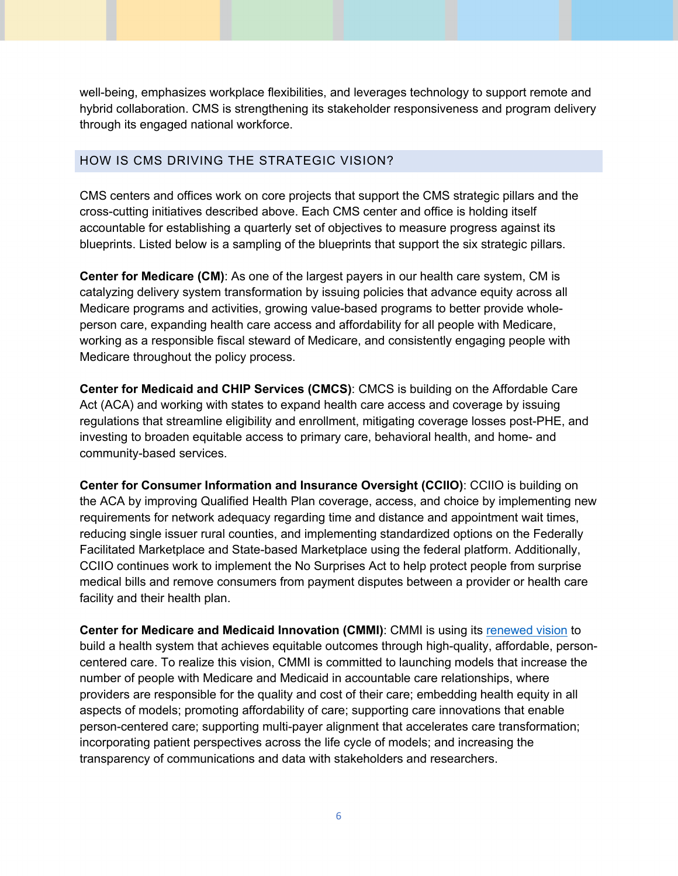hybrid collaboration. CMS is strengthening its stakeholder responsiveness and program delivery well-being, emphasizes workplace flexibilities, and leverages technology to support remote and through its engaged national workforce.

## HOW IS CMS DRIVING THE STRATEGIC VISION?

HOW IS CMS DRIVING THE STRATEGIC VISION?<br>CMS centers and offices work on core projects that support the CMS strategic pillars and the cross-cutting initiatives described above. Each CMS center and office is holding itself accountable for establishing a quarterly set of objectives to measure progress against its blueprints. Listed below is a sampling of the blueprints that support the six strategic pillars.

 **Center for Medicare (CM)**: As one of the largest payers in our health care system, CM is Medicare programs and activities, growing value-based programs to better provide whole- working as a responsible fiscal steward of Medicare, and consistently engaging people with Medicare throughout the policy process. catalyzing delivery system transformation by issuing policies that advance equity across all person care, expanding health care access and affordability for all people with Medicare,

 **Center for Medicaid and CHIP Services (CMCS)**: CMCS is building on the Affordable Care Act (ACA) and working with states to expand health care access and coverage by issuing regulations that streamline eligibility and enrollment, mitigating coverage losses post-PHE, and investing to broaden equitable access to primary care, behavioral health, and home- and community-based services.

 **Center for Consumer Information and Insurance Oversight (CCIIO)**: CCIIO is building on CCIIO continues work to implement the No Surprises Act to help protect people from surprise medical bills and remove consumers from payment disputes between a provider or health care the ACA by improving Qualified Health Plan coverage, access, and choice by implementing new requirements for network adequacy regarding time and distance and appointment wait times, reducing single issuer rural counties, and implementing standardized options on the Federally Facilitated Marketplace and State-based Marketplace using the federal platform. Additionally, facility and their health plan.

 **Center for Medicare and Medicaid Innovation (CMMI)**: CMMI is using its [renewed vision t](https://innovation.cms.gov/strategic-direction-whitepaper)o build a health system that achieves equitable outcomes through high-quality, affordable, person- centered care. To realize this vision, CMMI is committed to launching models that increase the number of people with Medicare and Medicaid in accountable care relationships, where person-centered care; supporting multi-payer alignment that accelerates care transformation; incorporating patient perspectives across the life cycle of models; and increasing the providers are responsible for the quality and cost of their care; embedding health equity in all aspects of models; promoting affordability of care; supporting care innovations that enable transparency of communications and data with stakeholders and researchers.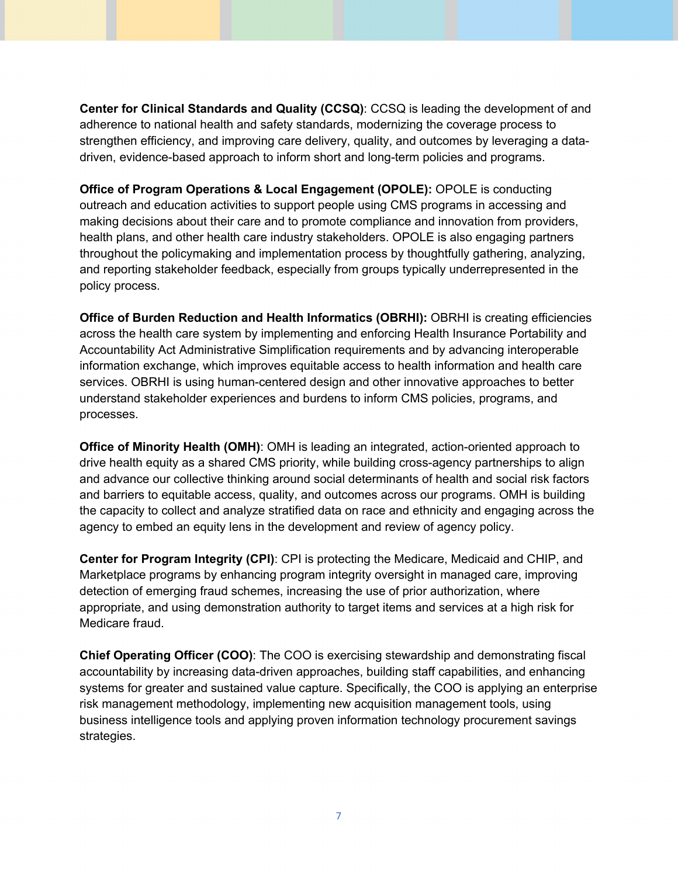**Center for Clinical Standards and Quality (CCSQ)**: CCSQ is leading the development of and strengthen efficiency, and improving care delivery, quality, and outcomes by leveraging a data- driven, evidence-based approach to inform short and long-term policies and programs. adherence to national health and safety standards, modernizing the coverage process to

 **Office of Program Operations & Local Engagement (OPOLE):** OPOLE is conducting outreach and education activities to support people using CMS programs in accessing and making decisions about their care and to promote compliance and innovation from providers, health plans, and other health care industry stakeholders. OPOLE is also engaging partners throughout the policymaking and implementation process by thoughtfully gathering, analyzing, and reporting stakeholder feedback, especially from groups typically underrepresented in the policy process.

 **Office of Burden Reduction and Health Informatics (OBRHI):** OBRHI is creating efficiencies Accountability Act Administrative Simplification requirements and by advancing interoperable information exchange, which improves equitable access to health information and health care services. OBRHI is using human-centered design and other innovative approaches to better understand stakeholder experiences and burdens to inform CMS policies, programs, and across the health care system by implementing and enforcing Health Insurance Portability and processes.

**Office of Minority Health (OMH)**: OMH is leading an integrated, action-oriented approach to drive health equity as a shared CMS priority, while building cross-agency partnerships to align and barriers to equitable access, quality, and outcomes across our programs. OMH is building agency to embed an equity lens in the development and review of agency policy. and advance our collective thinking around social determinants of health and social risk factors the capacity to collect and analyze stratified data on race and ethnicity and engaging across the

 **Center for Program Integrity (CPI)**: CPI is protecting the Medicare, Medicaid and CHIP, and Medicare fraud. Marketplace programs by enhancing program integrity oversight in managed care, improving detection of emerging fraud schemes, increasing the use of prior authorization, where appropriate, and using demonstration authority to target items and services at a high risk for

 **Chief Operating Officer (COO)**: The COO is exercising stewardship and demonstrating fiscal systems for greater and sustained value capture. Specifically, the COO is applying an enterprise business intelligence tools and applying proven information technology procurement savings accountability by increasing data-driven approaches, building staff capabilities, and enhancing risk management methodology, implementing new acquisition management tools, using strategies.